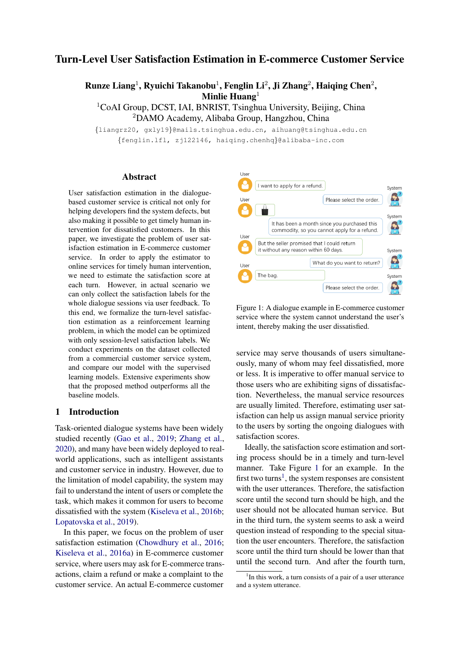# Turn-Level User Satisfaction Estimation in E-commerce Customer Service

Runze Liang<sup>1</sup>, Ryuichi Takanobu<sup>1</sup>, Fenglin Li<sup>2</sup>, Ji Zhang<sup>2</sup>, Haiqing Chen<sup>2</sup>, Minlie  $Huang<sup>1</sup>$ 

<sup>1</sup>CoAI Group, DCST, IAI, BNRIST, Tsinghua University, Beijing, China <sup>2</sup>DAMO Academy, Alibaba Group, Hangzhou, China

{liangrz20, gxly19}@mails.tsinghua.edu.cn, aihuang@tsinghua.edu.cn

{fenglin.lfl, zj122146, haiqing.chenhq}@alibaba-inc.com

## Abstract

User satisfaction estimation in the dialoguebased customer service is critical not only for helping developers find the system defects, but also making it possible to get timely human intervention for dissatisfied customers. In this paper, we investigate the problem of user satisfaction estimation in E-commerce customer service. In order to apply the estimator to online services for timely human intervention, we need to estimate the satisfaction score at each turn. However, in actual scenario we can only collect the satisfaction labels for the whole dialogue sessions via user feedback. To this end, we formalize the turn-level satisfaction estimation as a reinforcement learning problem, in which the model can be optimized with only session-level satisfaction labels. We conduct experiments on the dataset collected from a commercial customer service system, and compare our model with the supervised learning models. Extensive experiments show that the proposed method outperforms all the baseline models.

## 1 Introduction

Task-oriented dialogue systems have been widely studied recently [\(Gao et al.,](#page-4-0) [2019;](#page-4-0) [Zhang et al.,](#page-5-0) [2020\)](#page-5-0), and many have been widely deployed to realworld applications, such as intelligent assistants and customer service in industry. However, due to the limitation of model capability, the system may fail to understand the intent of users or complete the task, which makes it common for users to become dissatisfied with the system [\(Kiseleva et al.,](#page-5-1) [2016b;](#page-5-1) [Lopatovska et al.,](#page-5-2) [2019\)](#page-5-2).

In this paper, we focus on the problem of user satisfaction estimation [\(Chowdhury et al.,](#page-4-1) [2016;](#page-4-1) [Kiseleva et al.,](#page-5-3) [2016a\)](#page-5-3) in E-commerce customer service, where users may ask for E-commerce transactions, claim a refund or make a complaint to the customer service. An actual E-commerce customer

<span id="page-0-0"></span>

Figure 1: A dialogue example in E-commerce customer service where the system cannot understand the user's intent, thereby making the user dissatisfied.

service may serve thousands of users simultaneously, many of whom may feel dissatisfied, more or less. It is imperative to offer manual service to those users who are exhibiting signs of dissatisfaction. Nevertheless, the manual service resources are usually limited. Therefore, estimating user satisfaction can help us assign manual service priority to the users by sorting the ongoing dialogues with satisfaction scores.

Ideally, the satisfaction score estimation and sorting process should be in a timely and turn-level manner. Take Figure [1](#page-0-0) for an example. In the first two turns<sup>[1](#page-0-1)</sup>, the system responses are consistent with the user utterances. Therefore, the satisfaction score until the second turn should be high, and the user should not be allocated human service. But in the third turn, the system seems to ask a weird question instead of responding to the special situation the user encounters. Therefore, the satisfaction score until the third turn should be lower than that until the second turn. And after the fourth turn,

<span id="page-0-1"></span><sup>&</sup>lt;sup>1</sup>In this work, a turn consists of a pair of a user utterance and a system utterance.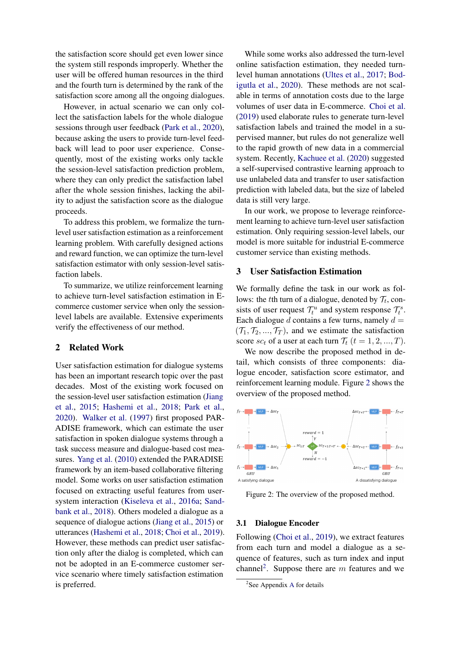the satisfaction score should get even lower since the system still responds improperly. Whether the user will be offered human resources in the third and the fourth turn is determined by the rank of the satisfaction score among all the ongoing dialogues.

However, in actual scenario we can only collect the satisfaction labels for the whole dialogue sessions through user feedback [\(Park et al.,](#page-5-4) [2020\)](#page-5-4), because asking the users to provide turn-level feedback will lead to poor user experience. Consequently, most of the existing works only tackle the session-level satisfaction prediction problem, where they can only predict the satisfaction label after the whole session finishes, lacking the ability to adjust the satisfaction score as the dialogue proceeds.

To address this problem, we formalize the turnlevel user satisfaction estimation as a reinforcement learning problem. With carefully designed actions and reward function, we can optimize the turn-level satisfaction estimator with only session-level satisfaction labels.

To summarize, we utilize reinforcement learning to achieve turn-level satisfaction estimation in Ecommerce customer service when only the sessionlevel labels are available. Extensive experiments verify the effectiveness of our method.

## 2 Related Work

User satisfaction estimation for dialogue systems has been an important research topic over the past decades. Most of the existing work focused on the session-level user satisfaction estimation [\(Jiang](#page-4-2) [et al.,](#page-4-2) [2015;](#page-4-2) [Hashemi et al.,](#page-4-3) [2018;](#page-4-3) [Park et al.,](#page-5-4) [2020\)](#page-5-4). [Walker et al.](#page-5-5) [\(1997\)](#page-5-5) first proposed PAR-ADISE framework, which can estimate the user satisfaction in spoken dialogue systems through a task success measure and dialogue-based cost measures. [Yang et al.](#page-5-6) [\(2010\)](#page-5-6) extended the PARADISE framework by an item-based collaborative filtering model. Some works on user satisfaction estimation focused on extracting useful features from usersystem interaction [\(Kiseleva et al.,](#page-5-3) [2016a;](#page-5-3) [Sand](#page-5-7)[bank et al.,](#page-5-7) [2018\)](#page-5-7). Others modeled a dialogue as a sequence of dialogue actions [\(Jiang et al.,](#page-4-2) [2015\)](#page-4-2) or utterances [\(Hashemi et al.,](#page-4-3) [2018;](#page-4-3) [Choi et al.,](#page-4-4) [2019\)](#page-4-4). However, these methods can predict user satisfaction only after the dialog is completed, which can not be adopted in an E-commerce customer service scenario where timely satisfaction estimation is preferred.

While some works also addressed the turn-level online satisfaction estimation, they needed turnlevel human annotations [\(Ultes et al.,](#page-5-8) [2017;](#page-5-8) [Bod](#page-4-5)[igutla et al.,](#page-4-5) [2020\)](#page-4-5). These methods are not scalable in terms of annotation costs due to the large volumes of user data in E-commerce. [Choi et al.](#page-4-4) [\(2019\)](#page-4-4) used elaborate rules to generate turn-level satisfaction labels and trained the model in a supervised manner, but rules do not generalize well to the rapid growth of new data in a commercial system. Recently, [Kachuee et al.](#page-5-9) [\(2020\)](#page-5-9) suggested a self-supervised contrastive learning approach to use unlabeled data and transfer to user satisfaction prediction with labeled data, but the size of labeled data is still very large.

In our work, we propose to leverage reinforcement learning to achieve turn-level user satisfaction estimation. Only requiring session-level labels, our model is more suitable for industrial E-commerce customer service than existing methods.

## 3 User Satisfaction Estimation

We formally define the task in our work as follows: the *t*th turn of a dialogue, denoted by  $\mathcal{T}_t$ , consists of user request  $\mathcal{T}_t^u$  and system response  $\mathcal{T}_t^s$ . Each dialogue d contains a few turns, namely  $d =$  $(\mathcal{T}_1, \mathcal{T}_2, ..., \mathcal{T}_T)$ , and we estimate the satisfaction score sc<sub>t</sub> of a user at each turn  $\mathcal{T}_t$   $(t = 1, 2, ..., T)$ .

We now describe the proposed method in detail, which consists of three components: dialogue encoder, satisfaction score estimator, and reinforcement learning module. Figure [2](#page-1-0) shows the overview of the proposed method.

<span id="page-1-0"></span>

Figure 2: The overview of the proposed method.

#### 3.1 Dialogue Encoder

Following [\(Choi et al.,](#page-4-4) [2019\)](#page-4-4), we extract features from each turn and model a dialogue as a sequence of features, such as turn index and input channel<sup>[2](#page-1-1)</sup>. Suppose there are m features and we

<span id="page-1-1"></span><sup>&</sup>lt;sup>2</sup>See [A](#page-5-10)ppendix A for details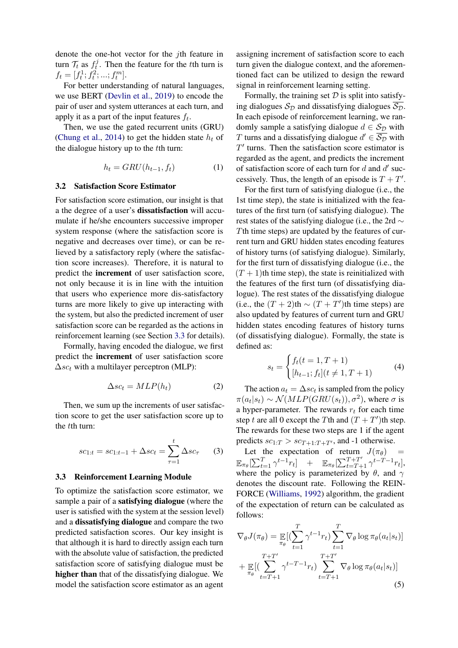denote the one-hot vector for the *i*th feature in turn  $\mathcal{T}_t$  as  $f_t^j$  $t_t^j$ . Then the feature for the tth turn is  $f_t = [f_t^1; f_t^2; \dots; f_t^m].$ 

For better understanding of natural languages, we use BERT [\(Devlin et al.,](#page-4-6) [2019\)](#page-4-6) to encode the pair of user and system utterances at each turn, and apply it as a part of the input features  $f_t$ .

Then, we use the gated recurrent units (GRU) [\(Chung et al.,](#page-4-7) [2014\)](#page-4-7) to get the hidden state  $h_t$  of the dialogue history up to the tth turn:

$$
h_t = GRU(h_{t-1}, f_t) \tag{1}
$$

#### 3.2 Satisfaction Score Estimator

For satisfaction score estimation, our insight is that a the degree of a user's dissatisfaction will accumulate if he/she encounters successive improper system response (where the satisfaction score is negative and decreases over time), or can be relieved by a satisfactory reply (where the satisfaction score increases). Therefore, it is natural to predict the increment of user satisfaction score, not only because it is in line with the intuition that users who experience more dis-satisfactory turns are more likely to give up interacting with the system, but also the predicted increment of user satisfaction score can be regarded as the actions in reinforcement learning (see Section [3.3](#page-2-0) for details).

Formally, having encoded the dialogue, we first predict the increment of user satisfaction score  $\Delta$ sc<sub>t</sub> with a multilayer perceptron (MLP):

$$
\Delta s c_t = MLP(h_t) \tag{2}
$$

Then, we sum up the increments of user satisfaction score to get the user satisfaction score up to the tth turn:

$$
sc_{1:t} = sc_{1:t-1} + \Delta sc_t = \sum_{\tau=1}^{t} \Delta sc_{\tau}
$$
 (3)

#### <span id="page-2-0"></span>3.3 Reinforcement Learning Module

To optimize the satisfaction score estimator, we sample a pair of a satisfying dialogue (where the user is satisfied with the system at the session level) and a dissatisfying dialogue and compare the two predicted satisfaction scores. Our key insight is that although it is hard to directly assign each turn with the absolute value of satisfaction, the predicted satisfaction score of satisfying dialogue must be higher than that of the dissatisfying dialogue. We model the satisfaction score estimator as an agent

assigning increment of satisfaction score to each turn given the dialogue context, and the aforementioned fact can be utilized to design the reward signal in reinforcement learning setting.

Formally, the training set  $D$  is split into satisfying dialogues  $S_{\mathcal{D}}$  and dissatisfying dialogues  $\overline{S_{\mathcal{D}}}$ . In each episode of reinforcement learning, we randomly sample a satisfying dialogue  $d \in S_{\mathcal{D}}$  with T turns and a dissatisfying dialogue  $d' \in \overline{S_{\mathcal{D}}}$  with  $T'$  turns. Then the satisfaction score estimator is regarded as the agent, and predicts the increment of satisfaction score of each turn for  $d$  and  $d'$  successively. Thus, the length of an episode is  $T + T'$ .

For the first turn of satisfying dialogue (i.e., the 1st time step), the state is initialized with the features of the first turn (of satisfying dialogue). The rest states of the satisfying dialogue (i.e., the 2rd ∼ Tth time steps) are updated by the features of current turn and GRU hidden states encoding features of history turns (of satisfying dialogue). Similarly, for the first turn of dissatisfying dialogue (i.e., the  $(T + 1)$ th time step), the state is reinitialized with the features of the first turn (of dissatisfying dialogue). The rest states of the dissatisfying dialogue (i.e., the  $(T + 2)$ th ~  $(T + T')$ th time steps) are also updated by features of current turn and GRU hidden states encoding features of history turns (of dissatisfying dialogue). Formally, the state is defined as:

$$
s_t = \begin{cases} f_t(t=1, T+1) \\ [h_{t-1}; f_t](t \neq 1, T+1) \end{cases} \tag{4}
$$

The action  $a_t = \Delta s c_t$  is sampled from the policy  $\pi(a_t|s_t) \sim \mathcal{N}(MLP(GRU(s_t)), \sigma^2)$ , where  $\sigma$  is a hyper-parameter. The rewards  $r_t$  for each time step t are all 0 except the Tth and  $(T + T')$ th step. The rewards for these two steps are 1 if the agent predicts  $sc_{1:T} > sc_{T+1:T+T}$ , and -1 otherwise.

Let the expectation of return  $J(\pi_{\theta})$  =  $\mathbb{E}_{\pi_{\theta}}[\sum_{t=1}^{T} \gamma^{t-1} r_t]$  +  $\mathbb{E}_{\pi_{\theta}}[\sum_{t=T+1}^{T+T'} \gamma^{t-T-1} r_t],$ where the policy is parameterized by  $\theta$ , and  $\gamma$ denotes the discount rate. Following the REIN-FORCE [\(Williams,](#page-5-11) [1992\)](#page-5-11) algorithm, the gradient of the expectation of return can be calculated as follows:

$$
\nabla_{\theta} J(\pi_{\theta}) = \mathop{\mathbb{E}}_{\pi_{\theta}} [(\sum_{t=1}^{T} \gamma^{t-1} r_t) \sum_{t=1}^{T} \nabla_{\theta} \log \pi_{\theta}(a_t | s_t)]
$$
  
+ 
$$
\mathop{\mathbb{E}}_{\pi_{\theta}} [(\sum_{t=T+1}^{T+T'} \gamma^{t-T-1} r_t) \sum_{t=T+1}^{T+T'} \nabla_{\theta} \log \pi_{\theta}(a_t | s_t)]
$$
(5)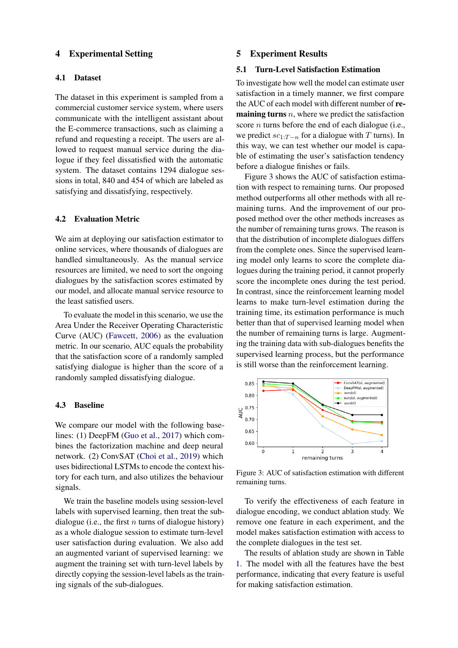## 4 Experimental Setting

## 4.1 Dataset

The dataset in this experiment is sampled from a commercial customer service system, where users communicate with the intelligent assistant about the E-commerce transactions, such as claiming a refund and requesting a receipt. The users are allowed to request manual service during the dialogue if they feel dissatisfied with the automatic system. The dataset contains 1294 dialogue sessions in total, 840 and 454 of which are labeled as satisfying and dissatisfying, respectively.

### 4.2 Evaluation Metric

We aim at deploying our satisfaction estimator to online services, where thousands of dialogues are handled simultaneously. As the manual service resources are limited, we need to sort the ongoing dialogues by the satisfaction scores estimated by our model, and allocate manual service resource to the least satisfied users.

To evaluate the model in this scenario, we use the Area Under the Receiver Operating Characteristic Curve (AUC) [\(Fawcett,](#page-4-8) [2006\)](#page-4-8) as the evaluation metric. In our scenario, AUC equals the probability that the satisfaction score of a randomly sampled satisfying dialogue is higher than the score of a randomly sampled dissatisfying dialogue.

#### 4.3 Baseline

We compare our model with the following baselines: (1) DeepFM [\(Guo et al.,](#page-4-9) [2017\)](#page-4-9) which combines the factorization machine and deep neural network. (2) ConvSAT [\(Choi et al.,](#page-4-4) [2019\)](#page-4-4) which uses bidirectional LSTMs to encode the context history for each turn, and also utilizes the behaviour signals.

We train the baseline models using session-level labels with supervised learning, then treat the subdialogue (i.e., the first  $n$  turns of dialogue history) as a whole dialogue session to estimate turn-level user satisfaction during evaluation. We also add an augmented variant of supervised learning: we augment the training set with turn-level labels by directly copying the session-level labels as the training signals of the sub-dialogues.

#### 5 Experiment Results

## 5.1 Turn-Level Satisfaction Estimation

To investigate how well the model can estimate user satisfaction in a timely manner, we first compare the AUC of each model with different number of re**maining turns**  $n$ , where we predict the satisfaction score *n* turns before the end of each dialogue (i.e., we predict  $sc_{1:T-n}$  for a dialogue with T turns). In this way, we can test whether our model is capable of estimating the user's satisfaction tendency before a dialogue finishes or fails.

Figure [3](#page-3-0) shows the AUC of satisfaction estimation with respect to remaining turns. Our proposed method outperforms all other methods with all remaining turns. And the improvement of our proposed method over the other methods increases as the number of remaining turns grows. The reason is that the distribution of incomplete dialogues differs from the complete ones. Since the supervised learning model only learns to score the complete dialogues during the training period, it cannot properly score the incomplete ones during the test period. In contrast, since the reinforcement learning model learns to make turn-level estimation during the training time, its estimation performance is much better than that of supervised learning model when the number of remaining turns is large. Augmenting the training data with sub-dialogues benefits the supervised learning process, but the performance is still worse than the reinforcement learning.

<span id="page-3-0"></span>

Figure 3: AUC of satisfaction estimation with different remaining turns.

To verify the effectiveness of each feature in dialogue encoding, we conduct ablation study. We remove one feature in each experiment, and the model makes satisfaction estimation with access to the complete dialogues in the test set.

The results of ablation study are shown in Table [1.](#page-4-10) The model with all the features have the best performance, indicating that every feature is useful for making satisfaction estimation.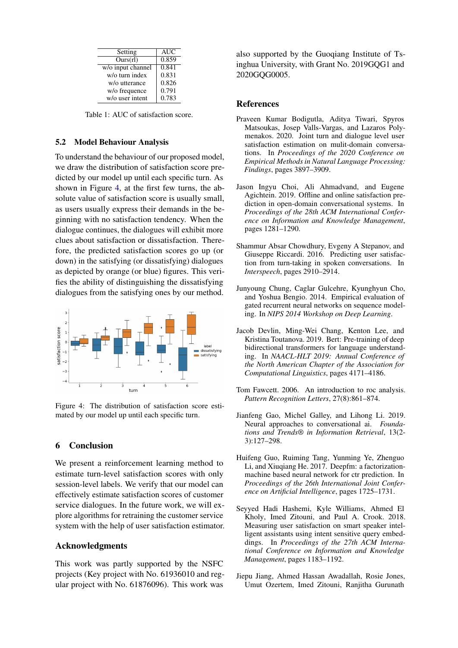<span id="page-4-10"></span>

| Setting           | <b>AUC</b> |
|-------------------|------------|
| Ours(rl)          | 0.859      |
| w/o input channel | 0.841      |
| w/o turn index    | 0.831      |
| w/o utterance     | 0.826      |
| w/o frequence     | 0.791      |
| w/o user intent   | 0.783      |

Table 1: AUC of satisfaction score.

## 5.2 Model Behaviour Analysis

To understand the behaviour of our proposed model, we draw the distribution of satisfaction score predicted by our model up until each specific turn. As shown in Figure [4,](#page-4-11) at the first few turns, the absolute value of satisfaction score is usually small, as users usually express their demands in the beginning with no satisfaction tendency. When the dialogue continues, the dialogues will exhibit more clues about satisfaction or dissatisfaction. Therefore, the predicted satisfaction scores go up (or down) in the satisfying (or dissatisfying) dialogues as depicted by orange (or blue) figures. This verifies the ability of distinguishing the dissatisfying dialogues from the satisfying ones by our method.

<span id="page-4-11"></span>

Figure 4: The distribution of satisfaction score estimated by our model up until each specific turn.

# 6 Conclusion

We present a reinforcement learning method to estimate turn-level satisfaction scores with only session-level labels. We verify that our model can effectively estimate satisfaction scores of customer service dialogues. In the future work, we will explore algorithms for retraining the customer service system with the help of user satisfaction estimator.

# Acknowledgments

This work was partly supported by the NSFC projects (Key project with No. 61936010 and regular project with No. 61876096). This work was

also supported by the Guoqiang Institute of Tsinghua University, with Grant No. 2019GQG1 and 2020GQG0005.

# References

- <span id="page-4-5"></span>Praveen Kumar Bodigutla, Aditya Tiwari, Spyros Matsoukas, Josep Valls-Vargas, and Lazaros Polymenakos. 2020. Joint turn and dialogue level user satisfaction estimation on mulit-domain conversations. In *Proceedings of the 2020 Conference on Empirical Methods in Natural Language Processing: Findings*, pages 3897–3909.
- <span id="page-4-4"></span>Jason Ingyu Choi, Ali Ahmadvand, and Eugene Agichtein. 2019. Offline and online satisfaction prediction in open-domain conversational systems. In *Proceedings of the 28th ACM International Conference on Information and Knowledge Management*, pages 1281–1290.
- <span id="page-4-1"></span>Shammur Absar Chowdhury, Evgeny A Stepanov, and Giuseppe Riccardi. 2016. Predicting user satisfaction from turn-taking in spoken conversations. In *Interspeech*, pages 2910–2914.
- <span id="page-4-7"></span>Junyoung Chung, Caglar Gulcehre, Kyunghyun Cho, and Yoshua Bengio. 2014. Empirical evaluation of gated recurrent neural networks on sequence modeling. In *NIPS 2014 Workshop on Deep Learning*.
- <span id="page-4-6"></span>Jacob Devlin, Ming-Wei Chang, Kenton Lee, and Kristina Toutanova. 2019. Bert: Pre-training of deep bidirectional transformers for language understanding. In *NAACL-HLT 2019: Annual Conference of the North American Chapter of the Association for Computational Linguistics*, pages 4171–4186.
- <span id="page-4-8"></span>Tom Fawcett. 2006. An introduction to roc analysis. *Pattern Recognition Letters*, 27(8):861–874.
- <span id="page-4-0"></span>Jianfeng Gao, Michel Galley, and Lihong Li. 2019. Neural approaches to conversational ai. *Foundations and Trends® in Information Retrieval*, 13(2- 3):127–298.
- <span id="page-4-9"></span>Huifeng Guo, Ruiming Tang, Yunming Ye, Zhenguo Li, and Xiuqiang He. 2017. Deepfm: a factorizationmachine based neural network for ctr prediction. In *Proceedings of the 26th International Joint Conference on Artificial Intelligence*, pages 1725–1731.
- <span id="page-4-3"></span>Seyyed Hadi Hashemi, Kyle Williams, Ahmed El Kholy, Imed Zitouni, and Paul A. Crook. 2018. Measuring user satisfaction on smart speaker intelligent assistants using intent sensitive query embeddings. In *Proceedings of the 27th ACM International Conference on Information and Knowledge Management*, pages 1183–1192.
- <span id="page-4-2"></span>Jiepu Jiang, Ahmed Hassan Awadallah, Rosie Jones, Umut Ozertem, Imed Zitouni, Ranjitha Gurunath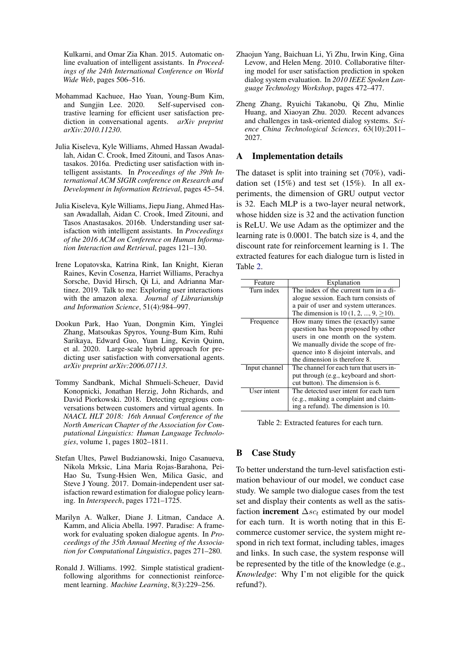Kulkarni, and Omar Zia Khan. 2015. Automatic online evaluation of intelligent assistants. In *Proceedings of the 24th International Conference on World Wide Web*, pages 506–516.

- <span id="page-5-9"></span>Mohammad Kachuee, Hao Yuan, Young-Bum Kim, and Sungjin Lee. 2020. Self-supervised contrastive learning for efficient user satisfaction prediction in conversational agents. *arXiv preprint arXiv:2010.11230*.
- <span id="page-5-3"></span>Julia Kiseleva, Kyle Williams, Ahmed Hassan Awadallah, Aidan C. Crook, Imed Zitouni, and Tasos Anastasakos. 2016a. Predicting user satisfaction with intelligent assistants. In *Proceedings of the 39th International ACM SIGIR conference on Research and Development in Information Retrieval*, pages 45–54.
- <span id="page-5-1"></span>Julia Kiseleva, Kyle Williams, Jiepu Jiang, Ahmed Hassan Awadallah, Aidan C. Crook, Imed Zitouni, and Tasos Anastasakos. 2016b. Understanding user satisfaction with intelligent assistants. In *Proceedings of the 2016 ACM on Conference on Human Information Interaction and Retrieval*, pages 121–130.
- <span id="page-5-2"></span>Irene Lopatovska, Katrina Rink, Ian Knight, Kieran Raines, Kevin Cosenza, Harriet Williams, Perachya Sorsche, David Hirsch, Qi Li, and Adrianna Martinez. 2019. Talk to me: Exploring user interactions with the amazon alexa. *Journal of Librarianship and Information Science*, 51(4):984–997.
- <span id="page-5-4"></span>Dookun Park, Hao Yuan, Dongmin Kim, Yinglei Zhang, Matsoukas Spyros, Young-Bum Kim, Ruhi Sarikaya, Edward Guo, Yuan Ling, Kevin Quinn, et al. 2020. Large-scale hybrid approach for predicting user satisfaction with conversational agents. *arXiv preprint arXiv:2006.07113*.
- <span id="page-5-7"></span>Tommy Sandbank, Michal Shmueli-Scheuer, David Konopnicki, Jonathan Herzig, John Richards, and David Piorkowski. 2018. Detecting egregious conversations between customers and virtual agents. In *NAACL HLT 2018: 16th Annual Conference of the North American Chapter of the Association for Computational Linguistics: Human Language Technologies*, volume 1, pages 1802–1811.
- <span id="page-5-8"></span>Stefan Ultes, Pawel Budzianowski, Inigo Casanueva, Nikola Mrksic, Lina Maria Rojas-Barahona, Pei-Hao Su, Tsung-Hsien Wen, Milica Gasic, and Steve J Young. 2017. Domain-independent user satisfaction reward estimation for dialogue policy learning. In *Interspeech*, pages 1721–1725.
- <span id="page-5-5"></span>Marilyn A. Walker, Diane J. Litman, Candace A. Kamm, and Alicia Abella. 1997. Paradise: A framework for evaluating spoken dialogue agents. In *Proceedings of the 35th Annual Meeting of the Association for Computational Linguistics*, pages 271–280.
- <span id="page-5-11"></span>Ronald J. Williams. 1992. Simple statistical gradientfollowing algorithms for connectionist reinforcement learning. *Machine Learning*, 8(3):229–256.
- <span id="page-5-6"></span>Zhaojun Yang, Baichuan Li, Yi Zhu, Irwin King, Gina Levow, and Helen Meng. 2010. Collaborative filtering model for user satisfaction prediction in spoken dialog system evaluation. In *2010 IEEE Spoken Language Technology Workshop*, pages 472–477.
- <span id="page-5-0"></span>Zheng Zhang, Ryuichi Takanobu, Qi Zhu, Minlie Huang, and Xiaoyan Zhu. 2020. Recent advances and challenges in task-oriented dialog systems. *Science China Technological Sciences*, 63(10):2011– 2027.

## <span id="page-5-10"></span>A Implementation details

The dataset is split into training set (70%), vadidation set  $(15%)$  and test set  $(15%)$ . In all experiments, the dimension of GRU output vector is 32. Each MLP is a two-layer neural network, whose hidden size is 32 and the activation function is ReLU. We use Adam as the optimizer and the learning rate is 0.0001. The batch size is 4, and the discount rate for reinforcement learning is 1. The extracted features for each dialogue turn is listed in Table [2.](#page-5-12)

<span id="page-5-12"></span>

| Feature       | Explanation                                |  |  |
|---------------|--------------------------------------------|--|--|
| Turn index    | The index of the current turn in a di-     |  |  |
|               | alogue session. Each turn consists of      |  |  |
|               | a pair of user and system utterances.      |  |  |
|               | The dimension is 10 (1, 2, , $9 \ge 10$ ). |  |  |
| Frequence     | How many times the (exactly) same          |  |  |
|               | question has been proposed by other        |  |  |
|               | users in one month on the system.          |  |  |
|               | We manually divide the scope of fre-       |  |  |
|               | quence into 8 disjoint intervals, and      |  |  |
|               | the dimension is therefore 8.              |  |  |
| Input channel | The channel for each turn that users in-   |  |  |
|               | put through (e.g., keyboard and short-     |  |  |
|               | cut button). The dimension is 6.           |  |  |
| User intent   | The detected user intent for each turn     |  |  |
|               | (e.g., making a complaint and claim-       |  |  |
|               | ing a refund). The dimension is 10.        |  |  |

Table 2: Extracted features for each turn.

## B Case Study

To better understand the turn-level satisfaction estimation behaviour of our model, we conduct case study. We sample two dialogue cases from the test set and display their contents as well as the satisfaction **increment**  $\Delta$ *sc<sub>t</sub>* estimated by our model for each turn. It is worth noting that in this Ecommerce customer service, the system might respond in rich text format, including tables, images and links. In such case, the system response will be represented by the title of the knowledge (e.g., *Knowledge*: Why I'm not eligible for the quick refund?).